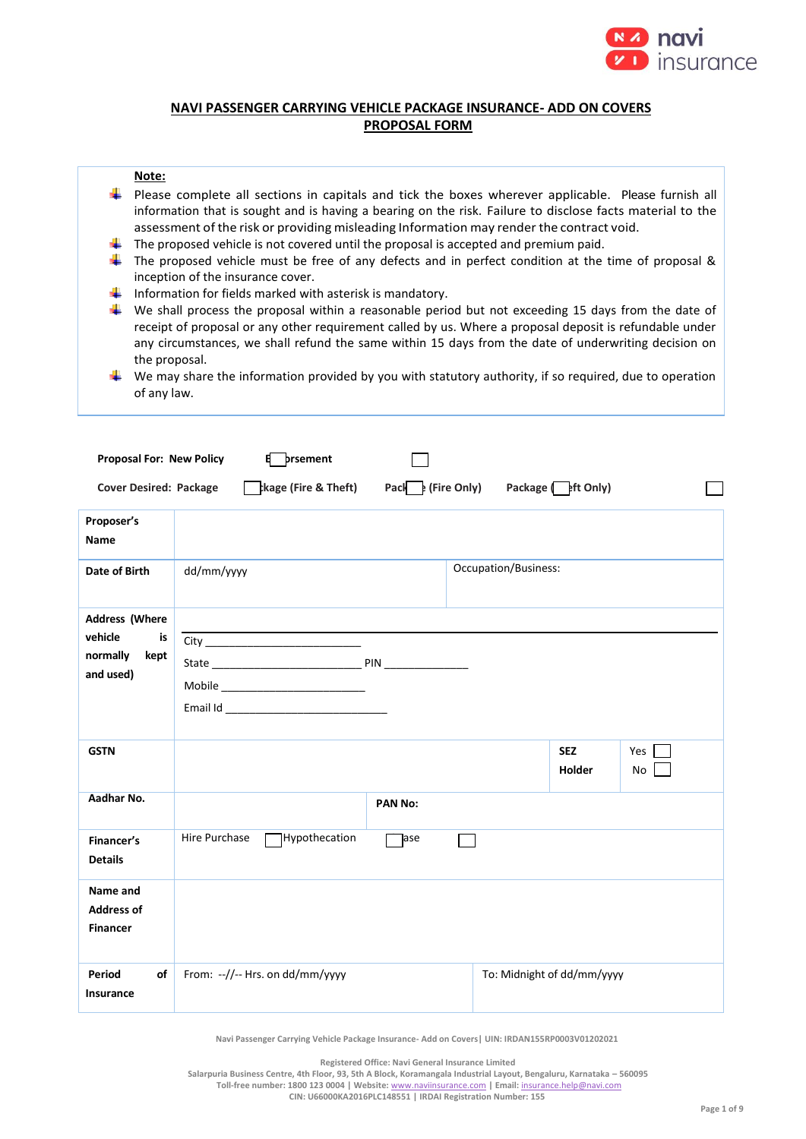

# **NAVI PASSENGER CARRYING VEHICLE PACKAGE INSURANCE- ADD ON COVERS PROPOSAL FORM**

### **Note:**

- $\downarrow$  Please complete all sections in capitals and tick the boxes wherever applicable. Please furnish all information that is sought and is having a bearing on the risk. Failure to disclose facts material to the assessment of the risk or providing misleading Information may render the contract void.
- The proposed vehicle is not covered until the proposal is accepted and premium paid.
- $\ddot{\bullet}$  The proposed vehicle must be free of any defects and in perfect condition at the time of proposal & inception of the insurance cover.
- Information for fields marked with asterisk is mandatory.
- $\frac{1}{2}$  We shall process the proposal within a reasonable period but not exceeding 15 days from the date of receipt of proposal or any other requirement called by us. Where a proposal deposit is refundable under any circumstances, we shall refund the same within 15 days from the date of underwriting decision on the proposal.
- $\downarrow$  We may share the information provided by you with statutory authority, if so required, due to operation of any law.

| <b>Proposal For: New Policy</b>                                  | prsement<br>8                                                                                   |                                          |
|------------------------------------------------------------------|-------------------------------------------------------------------------------------------------|------------------------------------------|
| <b>Cover Desired: Package</b>                                    | $\frac{1}{2}$ kage (Fire & Theft) Pack $\frac{1}{2}$ (Fire Only) Package $\frac{1}{2}$ ft Only) |                                          |
| Proposer's<br><b>Name</b>                                        |                                                                                                 |                                          |
| Date of Birth                                                    | dd/mm/yyyy                                                                                      | Occupation/Business:                     |
| Address (Where<br>vehicle<br>is<br>normally<br>kept<br>and used) | Mobile _____________________________                                                            |                                          |
| <b>GSTN</b>                                                      |                                                                                                 | <b>SEZ</b><br>Yes<br><b>Holder</b><br>No |
| Aadhar No.                                                       | <b>PAN No:</b>                                                                                  |                                          |
| Financer's<br><b>Details</b>                                     | Hire Purchase<br>Hypothecation<br>]ase                                                          |                                          |
| Name and<br><b>Address of</b><br><b>Financer</b>                 |                                                                                                 |                                          |
| of<br>Period<br>Insurance                                        | From: --//-- Hrs. on dd/mm/yyyy                                                                 | To: Midnight of dd/mm/yyyy               |

**Navi Passenger Carrying Vehicle Package Insurance- Add on Covers| UIN: IRDAN155RP0003V01202021**

**Registered Office: Navi General Insurance Limited**

**Salarpuria Business Centre, 4th Floor, 93, 5th A Block, Koramangala Industrial Layout, Bengaluru, Karnataka – 560095 Toll-free number: 1800 123 0004 | Website:** [www.naviinsurance.com](http://www.naviinsurance.com/) **| Email:** [insurance.help@navi.com](mailto:insurance.help@navi.com)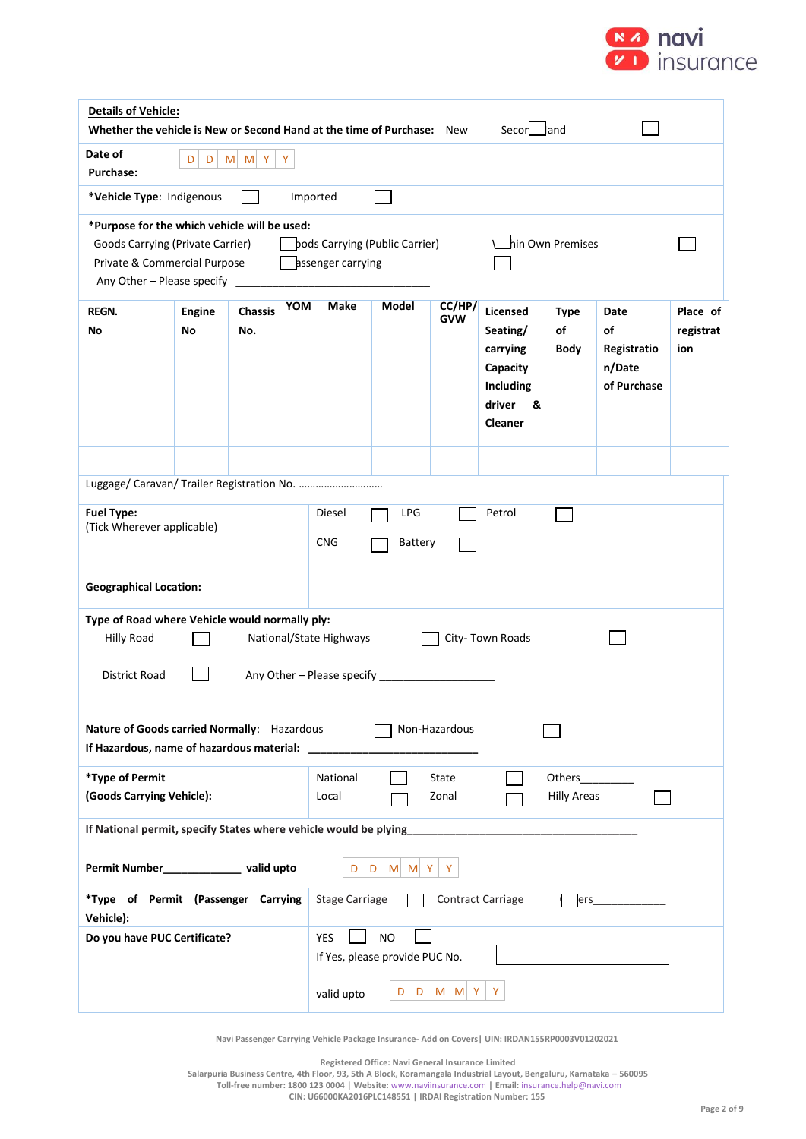

| <b>Details of Vehicle:</b><br>Whether the vehicle is New or Second Hand at the time of Purchase: New<br>Secon land                                                                                                        |                                                                                                                   |                       |            |                       |              |                      |                                                                                            |                           |                                                    |                              |
|---------------------------------------------------------------------------------------------------------------------------------------------------------------------------------------------------------------------------|-------------------------------------------------------------------------------------------------------------------|-----------------------|------------|-----------------------|--------------|----------------------|--------------------------------------------------------------------------------------------|---------------------------|----------------------------------------------------|------------------------------|
| Date of<br>D<br>$M$ $M$ $Y$<br>Y<br>D<br>Purchase:                                                                                                                                                                        |                                                                                                                   |                       |            |                       |              |                      |                                                                                            |                           |                                                    |                              |
| *Vehicle Type: Indigenous                                                                                                                                                                                                 |                                                                                                                   |                       | Imported   |                       |              |                      |                                                                                            |                           |                                                    |                              |
| *Purpose for the which vehicle will be used:<br>hin Own Premises<br>Goods Carrying (Private Carrier)<br>bods Carrying (Public Carrier)<br>Private & Commercial Purpose<br>assenger carrying<br>Any Other - Please specify |                                                                                                                   |                       |            |                       |              |                      |                                                                                            |                           |                                                    |                              |
| <b>REGN.</b><br>No                                                                                                                                                                                                        | <b>Engine</b><br>No                                                                                               | <b>Chassis</b><br>No. | <b>YOM</b> | Make                  | <b>Model</b> | CC/HP/<br><b>GVW</b> | Licensed<br>Seating/<br>carrying<br>Capacity<br>Including<br>driver<br>&<br><b>Cleaner</b> | <b>Type</b><br>of<br>Body | Date<br>of<br>Registratio<br>n/Date<br>of Purchase | Place of<br>registrat<br>ion |
|                                                                                                                                                                                                                           | Luggage/ Caravan/ Trailer Registration No.                                                                        |                       |            |                       |              |                      |                                                                                            |                           |                                                    |                              |
|                                                                                                                                                                                                                           | <b>Fuel Type:</b><br>Diesel<br><b>LPG</b><br>Petrol<br>(Tick Wherever applicable)<br><b>CNG</b><br><b>Battery</b> |                       |            |                       |              |                      |                                                                                            |                           |                                                    |                              |
| <b>Geographical Location:</b>                                                                                                                                                                                             |                                                                                                                   |                       |            |                       |              |                      |                                                                                            |                           |                                                    |                              |
| Type of Road where Vehicle would normally ply:<br>National/State Highways<br>City-Town Roads<br><b>Hilly Road</b>                                                                                                         |                                                                                                                   |                       |            |                       |              |                      |                                                                                            |                           |                                                    |                              |
| Any Other - Please specify<br>District Road                                                                                                                                                                               |                                                                                                                   |                       |            |                       |              |                      |                                                                                            |                           |                                                    |                              |
| Nature of Goods carried Normally: Hazardous<br>Non-Hazardous<br>If Hazardous, name of hazardous material:                                                                                                                 |                                                                                                                   |                       |            |                       |              |                      |                                                                                            |                           |                                                    |                              |
| *Type of Permit<br>National<br>State<br>Others_____<br>(Goods Carrying Vehicle):<br><b>Hilly Areas</b><br>Local<br>Zonal                                                                                                  |                                                                                                                   |                       |            |                       |              |                      |                                                                                            |                           |                                                    |                              |
| If National permit, specify States where vehicle would be plying_                                                                                                                                                         |                                                                                                                   |                       |            |                       |              |                      |                                                                                            |                           |                                                    |                              |
| Permit Number________________ valid upto<br>D<br>M M Y<br>Y<br>D.                                                                                                                                                         |                                                                                                                   |                       |            |                       |              |                      |                                                                                            |                           |                                                    |                              |
| *Type of Permit (Passenger Carrying<br>Vehicle):                                                                                                                                                                          |                                                                                                                   |                       |            | <b>Stage Carriage</b> |              |                      | Contract Carriage                                                                          |                           | ers                                                |                              |
| <b>YES</b><br><b>NO</b><br>Do you have PUC Certificate?<br>If Yes, please provide PUC No.<br>$M$ $M$ $Y$<br>Y<br>D<br>D<br>valid upto                                                                                     |                                                                                                                   |                       |            |                       |              |                      |                                                                                            |                           |                                                    |                              |

**Registered Office: Navi General Insurance Limited**

**Salarpuria Business Centre, 4th Floor, 93, 5th A Block, Koramangala Industrial Layout, Bengaluru, Karnataka – 560095**

**Toll-free number: 1800 123 0004 | Website:** [www.naviinsurance.com](http://www.naviinsurance.com/) **| Email:** [insurance.help@navi.com](mailto:insurance.help@navi.com)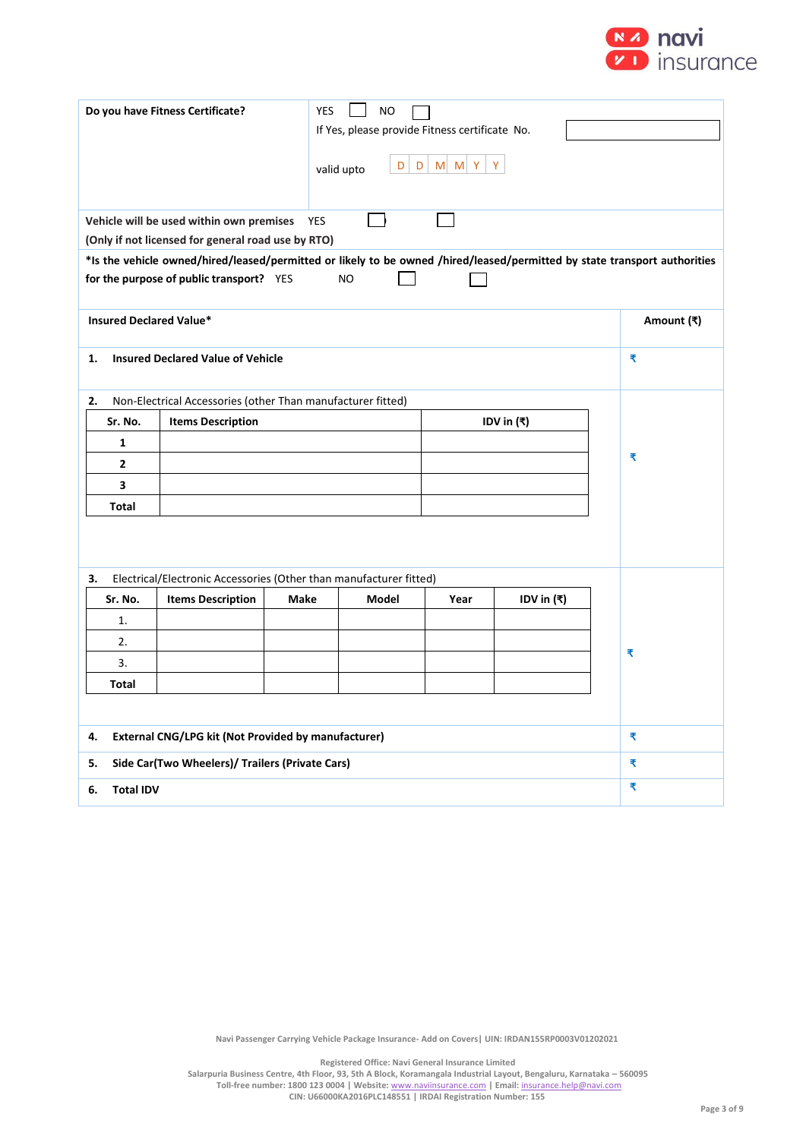

| Do you have Fitness Certificate?<br><b>YES</b><br><b>NO</b><br>If Yes, please provide Fitness certificate No.<br>$M$ $M$ $Y$<br>Y<br>$\vert D \vert$<br>D<br>valid upto |                                                                                                                                                                                                                                          |             |       |      |              |   |            |
|-------------------------------------------------------------------------------------------------------------------------------------------------------------------------|------------------------------------------------------------------------------------------------------------------------------------------------------------------------------------------------------------------------------------------|-------------|-------|------|--------------|---|------------|
|                                                                                                                                                                         | Vehicle will be used within own premises                                                                                                                                                                                                 | <b>YES</b>  |       |      |              |   |            |
|                                                                                                                                                                         | (Only if not licensed for general road use by RTO)<br>*Is the vehicle owned/hired/leased/permitted or likely to be owned /hired/leased/permitted by state transport authorities<br>for the purpose of public transport? YES<br><b>NO</b> |             |       |      |              |   |            |
| <b>Insured Declared Value*</b>                                                                                                                                          |                                                                                                                                                                                                                                          |             |       |      |              |   | Amount (₹) |
| <b>Insured Declared Value of Vehicle</b><br>1.                                                                                                                          |                                                                                                                                                                                                                                          |             |       |      |              |   | ₹          |
| 2.                                                                                                                                                                      | Non-Electrical Accessories (other Than manufacturer fitted)                                                                                                                                                                              |             |       |      |              |   |            |
| Sr. No.                                                                                                                                                                 | <b>Items Description</b><br>IDV in $(₹)$                                                                                                                                                                                                 |             |       |      |              |   |            |
| 1                                                                                                                                                                       |                                                                                                                                                                                                                                          |             |       |      |              |   |            |
| 2                                                                                                                                                                       |                                                                                                                                                                                                                                          |             |       |      |              | ₹ |            |
| 3                                                                                                                                                                       |                                                                                                                                                                                                                                          |             |       |      |              |   |            |
| Total                                                                                                                                                                   |                                                                                                                                                                                                                                          |             |       |      |              |   |            |
|                                                                                                                                                                         |                                                                                                                                                                                                                                          |             |       |      |              |   |            |
| 3.                                                                                                                                                                      | Electrical/Electronic Accessories (Other than manufacturer fitted)                                                                                                                                                                       |             |       |      |              |   |            |
| Sr. No.<br>1.                                                                                                                                                           | <b>Items Description</b>                                                                                                                                                                                                                 | <b>Make</b> | Model | Year | IDV in $(₹)$ |   |            |
| 2.                                                                                                                                                                      |                                                                                                                                                                                                                                          |             |       |      |              |   |            |
| 3.                                                                                                                                                                      |                                                                                                                                                                                                                                          |             |       |      |              |   | ₹          |
| Total                                                                                                                                                                   |                                                                                                                                                                                                                                          |             |       |      |              |   |            |
|                                                                                                                                                                         |                                                                                                                                                                                                                                          |             |       |      |              |   |            |
| External CNG/LPG kit (Not Provided by manufacturer)<br>4.                                                                                                               |                                                                                                                                                                                                                                          |             |       |      |              |   | ₹          |
| Side Car(Two Wheelers)/ Trailers (Private Cars)<br>5.                                                                                                                   |                                                                                                                                                                                                                                          |             |       |      |              |   | ₹          |
| <b>Total IDV</b><br>6.                                                                                                                                                  |                                                                                                                                                                                                                                          |             |       |      |              | ₹ |            |

**Registered Office: Navi General Insurance Limited**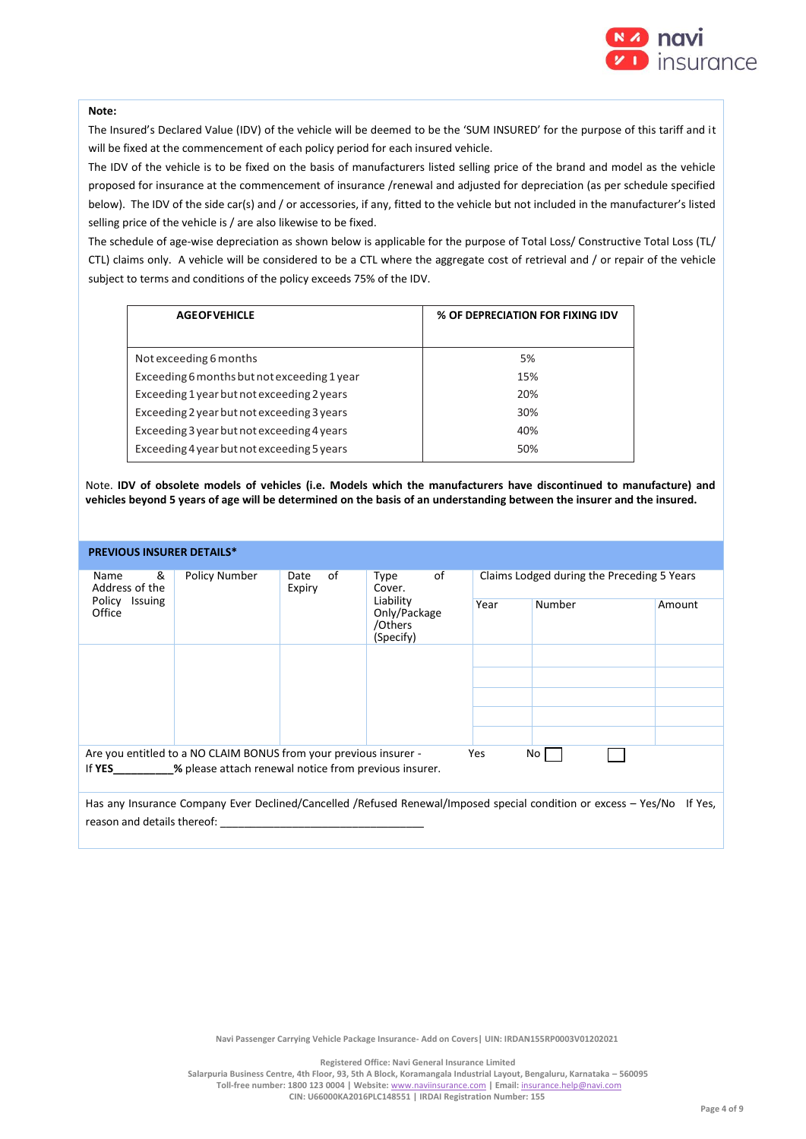

#### **Note:**

The Insured's Declared Value (IDV) of the vehicle will be deemed to be the 'SUM INSURED' for the purpose of this tariff and it will be fixed at the commencement of each policy period for each insured vehicle.

The IDV of the vehicle is to be fixed on the basis of manufacturers listed selling price of the brand and model as the vehicle proposed for insurance at the commencement of insurance /renewal and adjusted for depreciation (as per schedule specified below). The IDV of the side car(s) and / or accessories, if any, fitted to the vehicle but not included in the manufacturer's listed selling price of the vehicle is / are also likewise to be fixed.

The schedule of age-wise depreciation as shown below is applicable for the purpose of Total Loss/ Constructive Total Loss (TL/ CTL) claims only. A vehicle will be considered to be a CTL where the aggregate cost of retrieval and / or repair of the vehicle subject to terms and conditions of the policy exceeds 75% of the IDV.

| <b>AGEOFVEHICLE</b>                         | % OF DEPRECIATION FOR FIXING IDV |
|---------------------------------------------|----------------------------------|
|                                             |                                  |
| Not exceeding 6 months                      | 5%                               |
| Exceeding 6 months but not exceeding 1 year | 15%                              |
| Exceeding 1 year but not exceeding 2 years  | 20%                              |
| Exceeding 2 year but not exceeding 3 years  | 30%                              |
| Exceeding 3 year but not exceeding 4 years  | 40%                              |
| Exceeding 4 year but not exceeding 5 years  | 50%                              |

Note. **IDV of obsolete models of vehicles (i.e. Models which the manufacturers have discontinued to manufacture) and vehicles beyond 5 years of age will be determined on the basis of an understanding between the insurer and the insured.**

#### **PREVIOUS INSURER DETAILS\***

| &<br>Name<br>Address of the<br>Policy Issuing<br>Office         | Policy Number                                                     | οf<br>Date<br>Expiry | of<br>Type<br>Cover.<br>Liability<br>Only/Package<br>/Others<br>(Specify) | Claims Lodged during the Preceding 5 Years |                                                                                                                 |         |  |
|-----------------------------------------------------------------|-------------------------------------------------------------------|----------------------|---------------------------------------------------------------------------|--------------------------------------------|-----------------------------------------------------------------------------------------------------------------|---------|--|
|                                                                 |                                                                   |                      |                                                                           | Year                                       | Number                                                                                                          | Amount  |  |
|                                                                 |                                                                   |                      |                                                                           |                                            |                                                                                                                 |         |  |
|                                                                 |                                                                   |                      |                                                                           |                                            |                                                                                                                 |         |  |
|                                                                 |                                                                   |                      |                                                                           |                                            |                                                                                                                 |         |  |
|                                                                 |                                                                   |                      |                                                                           |                                            |                                                                                                                 |         |  |
|                                                                 |                                                                   |                      |                                                                           |                                            |                                                                                                                 |         |  |
|                                                                 | Are you entitled to a NO CLAIM BONUS from your previous insurer - |                      |                                                                           | Yes                                        | No l                                                                                                            |         |  |
| % please attach renewal notice from previous insurer.<br>If YES |                                                                   |                      |                                                                           |                                            |                                                                                                                 |         |  |
| reason and details thereof:                                     |                                                                   |                      |                                                                           |                                            | Has any Insurance Company Ever Declined/Cancelled /Refused Renewal/Imposed special condition or excess - Yes/No | If Yes. |  |
|                                                                 |                                                                   |                      |                                                                           |                                            |                                                                                                                 |         |  |

**Navi Passenger Carrying Vehicle Package Insurance- Add on Covers| UIN: IRDAN155RP0003V01202021**

**Registered Office: Navi General Insurance Limited**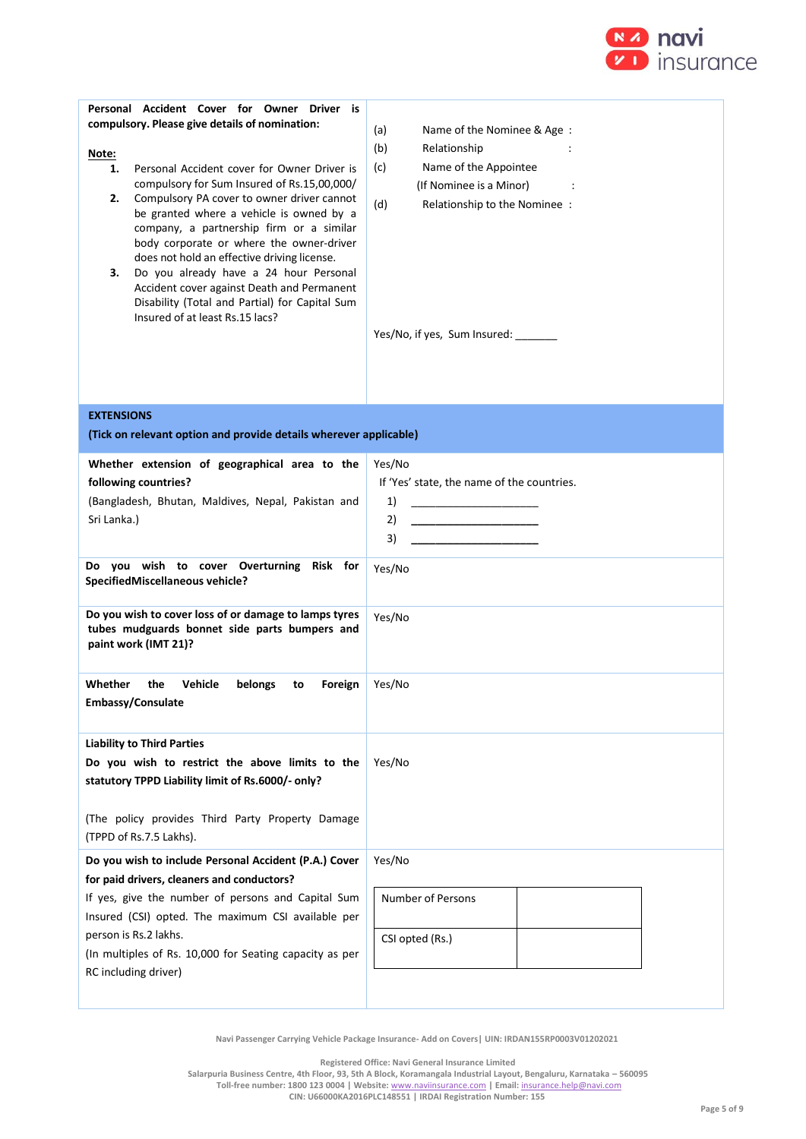

| Personal Accident Cover for Owner Driver is<br>compulsory. Please give details of nomination:<br>Note:<br>Personal Accident cover for Owner Driver is<br>1.<br>compulsory for Sum Insured of Rs.15,00,000/<br>2.<br>Compulsory PA cover to owner driver cannot<br>be granted where a vehicle is owned by a<br>company, a partnership firm or a similar<br>body corporate or where the owner-driver<br>does not hold an effective driving license.<br>Do you already have a 24 hour Personal<br>з.<br>Accident cover against Death and Permanent<br>Disability (Total and Partial) for Capital Sum<br>Insured of at least Rs.15 lacs? | (a)<br>Name of the Nominee & Age:<br>(b)<br>Relationship<br>Name of the Appointee<br>(c)<br>(If Nominee is a Minor)<br>(d)<br>Relationship to the Nominee :<br>Yes/No, if yes, Sum Insured: _______ |
|--------------------------------------------------------------------------------------------------------------------------------------------------------------------------------------------------------------------------------------------------------------------------------------------------------------------------------------------------------------------------------------------------------------------------------------------------------------------------------------------------------------------------------------------------------------------------------------------------------------------------------------|-----------------------------------------------------------------------------------------------------------------------------------------------------------------------------------------------------|
| <b>EXTENSIONS</b><br>(Tick on relevant option and provide details wherever applicable)                                                                                                                                                                                                                                                                                                                                                                                                                                                                                                                                               |                                                                                                                                                                                                     |
| Whether extension of geographical area to the<br>following countries?<br>(Bangladesh, Bhutan, Maldives, Nepal, Pakistan and<br>Sri Lanka.)<br>Do you wish to cover Overturning Risk for<br>SpecifiedMiscellaneous vehicle?                                                                                                                                                                                                                                                                                                                                                                                                           | Yes/No<br>If 'Yes' state, the name of the countries.<br>1)<br><u> 1989 - Johann Barbara, martin a</u><br>2)<br><u> 1989 - Johann Barbara, martin a</u><br>3)<br>Yes/No                              |
| Do you wish to cover loss of or damage to lamps tyres<br>tubes mudguards bonnet side parts bumpers and<br>paint work (IMT 21)?                                                                                                                                                                                                                                                                                                                                                                                                                                                                                                       | Yes/No                                                                                                                                                                                              |
| Vehicle<br>belongs<br>Whether<br>the<br>Foreign<br>to<br>Embassy/Consulate                                                                                                                                                                                                                                                                                                                                                                                                                                                                                                                                                           | Yes/No                                                                                                                                                                                              |
| <b>Liability to Third Parties</b><br>Do you wish to restrict the above limits to the<br>statutory TPPD Liability limit of Rs.6000/- only?<br>(The policy provides Third Party Property Damage                                                                                                                                                                                                                                                                                                                                                                                                                                        | Yes/No                                                                                                                                                                                              |
| (TPPD of Rs.7.5 Lakhs).<br>Do you wish to include Personal Accident (P.A.) Cover                                                                                                                                                                                                                                                                                                                                                                                                                                                                                                                                                     | Yes/No                                                                                                                                                                                              |
| for paid drivers, cleaners and conductors?<br>If yes, give the number of persons and Capital Sum<br>Insured (CSI) opted. The maximum CSI available per<br>person is Rs.2 lakhs.<br>(In multiples of Rs. 10,000 for Seating capacity as per<br>RC including driver)                                                                                                                                                                                                                                                                                                                                                                   | <b>Number of Persons</b><br>CSI opted (Rs.)                                                                                                                                                         |
|                                                                                                                                                                                                                                                                                                                                                                                                                                                                                                                                                                                                                                      |                                                                                                                                                                                                     |

**Registered Office: Navi General Insurance Limited**

**Salarpuria Business Centre, 4th Floor, 93, 5th A Block, Koramangala Industrial Layout, Bengaluru, Karnataka – 560095 Toll-free number: 1800 123 0004 | Website:** [www.naviinsurance.com](http://www.naviinsurance.com/) **| Email:** [insurance.help@navi.com](mailto:insurance.help@navi.com)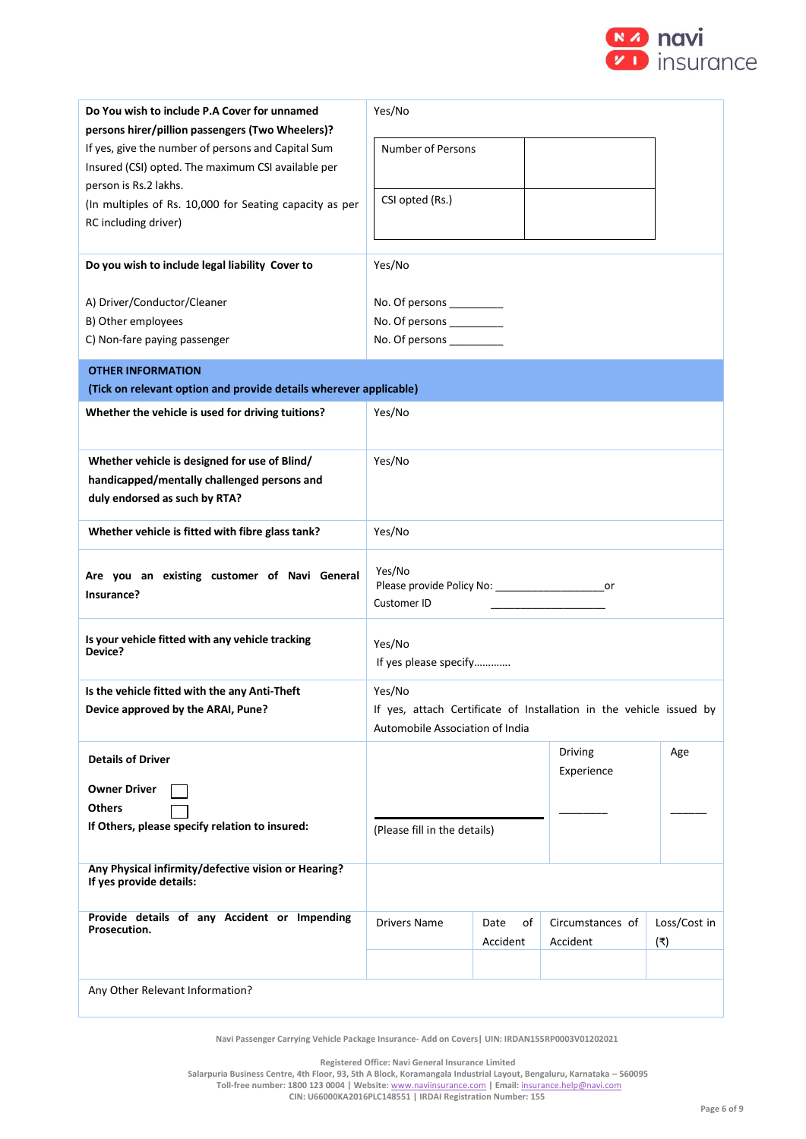

| Do You wish to include P.A Cover for unnamed                                   | Yes/No                                                  |            |                                                                     |              |  |
|--------------------------------------------------------------------------------|---------------------------------------------------------|------------|---------------------------------------------------------------------|--------------|--|
| persons hirer/pillion passengers (Two Wheelers)?                               |                                                         |            |                                                                     |              |  |
| If yes, give the number of persons and Capital Sum                             | <b>Number of Persons</b>                                |            |                                                                     |              |  |
| Insured (CSI) opted. The maximum CSI available per<br>person is Rs.2 lakhs.    |                                                         |            |                                                                     |              |  |
| (In multiples of Rs. 10,000 for Seating capacity as per                        | CSI opted (Rs.)                                         |            |                                                                     |              |  |
| RC including driver)                                                           |                                                         |            |                                                                     |              |  |
|                                                                                |                                                         |            |                                                                     |              |  |
| Do you wish to include legal liability Cover to                                | Yes/No                                                  |            |                                                                     |              |  |
|                                                                                |                                                         |            |                                                                     |              |  |
| A) Driver/Conductor/Cleaner<br>B) Other employees                              | No. Of persons ___________<br>No. Of persons __________ |            |                                                                     |              |  |
| C) Non-fare paying passenger                                                   | No. Of persons __________                               |            |                                                                     |              |  |
|                                                                                |                                                         |            |                                                                     |              |  |
| <b>OTHER INFORMATION</b>                                                       |                                                         |            |                                                                     |              |  |
| (Tick on relevant option and provide details wherever applicable)              |                                                         |            |                                                                     |              |  |
| Whether the vehicle is used for driving tuitions?                              | Yes/No                                                  |            |                                                                     |              |  |
|                                                                                |                                                         |            |                                                                     |              |  |
| Whether vehicle is designed for use of Blind/                                  | Yes/No                                                  |            |                                                                     |              |  |
| handicapped/mentally challenged persons and                                    |                                                         |            |                                                                     |              |  |
| duly endorsed as such by RTA?                                                  |                                                         |            |                                                                     |              |  |
| Whether vehicle is fitted with fibre glass tank?                               | Yes/No                                                  |            |                                                                     |              |  |
|                                                                                | Yes/No                                                  |            |                                                                     |              |  |
| Are you an existing customer of Navi General<br>Insurance?                     | Please provide Policy No: _________________________or   |            |                                                                     |              |  |
|                                                                                | Customer ID                                             |            |                                                                     |              |  |
| Is your vehicle fitted with any vehicle tracking                               |                                                         |            |                                                                     |              |  |
| Device?                                                                        | Yes/No                                                  |            |                                                                     |              |  |
|                                                                                | If yes please specify                                   |            |                                                                     |              |  |
| Is the vehicle fitted with the any Anti-Theft                                  | Yes/No                                                  |            |                                                                     |              |  |
| Device approved by the ARAI, Pune?                                             | Automobile Association of India                         |            | If yes, attach Certificate of Installation in the vehicle issued by |              |  |
|                                                                                |                                                         |            |                                                                     |              |  |
| <b>Details of Driver</b>                                                       |                                                         |            | <b>Driving</b><br>Experience                                        | Age          |  |
| <b>Owner Driver</b>                                                            |                                                         |            |                                                                     |              |  |
| <b>Others</b>                                                                  |                                                         |            |                                                                     |              |  |
| If Others, please specify relation to insured:                                 | (Please fill in the details)                            |            |                                                                     |              |  |
|                                                                                |                                                         |            |                                                                     |              |  |
| Any Physical infirmity/defective vision or Hearing?<br>If yes provide details: |                                                         |            |                                                                     |              |  |
|                                                                                |                                                         |            |                                                                     |              |  |
| Provide details of any Accident or Impending<br>Prosecution.                   | <b>Drivers Name</b>                                     | Date<br>of | Circumstances of                                                    | Loss/Cost in |  |
|                                                                                |                                                         | Accident   | Accident                                                            | (₹)          |  |
|                                                                                |                                                         |            |                                                                     |              |  |
| Any Other Relevant Information?                                                |                                                         |            |                                                                     |              |  |

**Registered Office: Navi General Insurance Limited**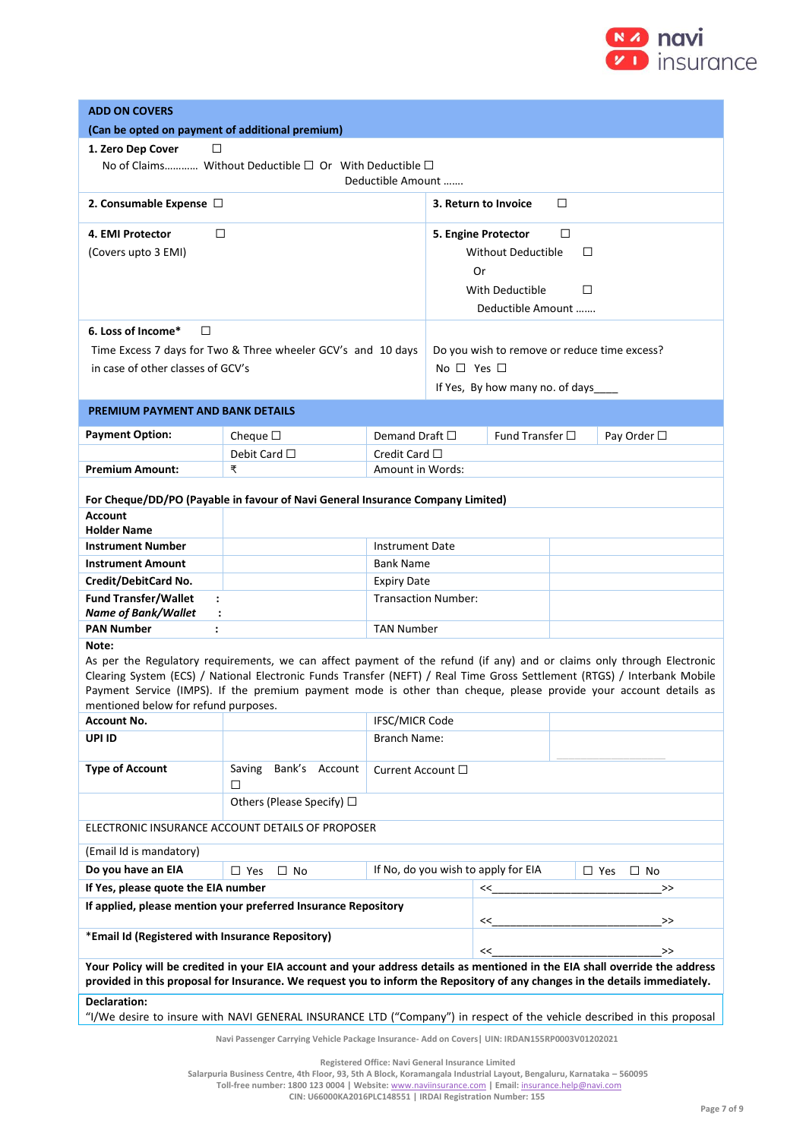

| <b>ADD ON COVERS</b>                                                                                                                                                                                                                                        |                                                                                                                                                                                                                                                                                                                                                                        |                                                                |                      |                                              |    |             |
|-------------------------------------------------------------------------------------------------------------------------------------------------------------------------------------------------------------------------------------------------------------|------------------------------------------------------------------------------------------------------------------------------------------------------------------------------------------------------------------------------------------------------------------------------------------------------------------------------------------------------------------------|----------------------------------------------------------------|----------------------|----------------------------------------------|----|-------------|
| (Can be opted on payment of additional premium)                                                                                                                                                                                                             |                                                                                                                                                                                                                                                                                                                                                                        |                                                                |                      |                                              |    |             |
| 1. Zero Dep Cover<br>□                                                                                                                                                                                                                                      |                                                                                                                                                                                                                                                                                                                                                                        |                                                                |                      |                                              |    |             |
|                                                                                                                                                                                                                                                             | No of Claims Without Deductible $\square$ Or With Deductible $\square$                                                                                                                                                                                                                                                                                                 | Deductible Amount                                              |                      |                                              |    |             |
| 2. Consumable Expense $\Box$                                                                                                                                                                                                                                |                                                                                                                                                                                                                                                                                                                                                                        |                                                                |                      | 3. Return to Invoice                         | □  |             |
| $\Box$<br>4. EMI Protector                                                                                                                                                                                                                                  |                                                                                                                                                                                                                                                                                                                                                                        |                                                                |                      | 5. Engine Protector                          | □  |             |
| (Covers upto 3 EMI)                                                                                                                                                                                                                                         |                                                                                                                                                                                                                                                                                                                                                                        |                                                                |                      | <b>Without Deductible</b>                    | □  |             |
|                                                                                                                                                                                                                                                             |                                                                                                                                                                                                                                                                                                                                                                        |                                                                | Or                   |                                              |    |             |
|                                                                                                                                                                                                                                                             |                                                                                                                                                                                                                                                                                                                                                                        |                                                                | With Deductible<br>□ |                                              |    |             |
|                                                                                                                                                                                                                                                             |                                                                                                                                                                                                                                                                                                                                                                        |                                                                |                      | Deductible Amount                            |    |             |
| 6. Loss of Income*<br>$\Box$                                                                                                                                                                                                                                |                                                                                                                                                                                                                                                                                                                                                                        |                                                                |                      |                                              |    |             |
|                                                                                                                                                                                                                                                             | Time Excess 7 days for Two & Three wheeler GCV's and 10 days                                                                                                                                                                                                                                                                                                           |                                                                |                      | Do you wish to remove or reduce time excess? |    |             |
| in case of other classes of GCV's                                                                                                                                                                                                                           |                                                                                                                                                                                                                                                                                                                                                                        |                                                                | No $\Box$ Yes $\Box$ |                                              |    |             |
|                                                                                                                                                                                                                                                             |                                                                                                                                                                                                                                                                                                                                                                        |                                                                |                      | If Yes, By how many no. of days              |    |             |
| <b>PREMIUM PAYMENT AND BANK DETAILS</b>                                                                                                                                                                                                                     |                                                                                                                                                                                                                                                                                                                                                                        |                                                                |                      |                                              |    |             |
|                                                                                                                                                                                                                                                             |                                                                                                                                                                                                                                                                                                                                                                        |                                                                |                      |                                              |    |             |
| <b>Payment Option:</b>                                                                                                                                                                                                                                      | Cheque $\square$                                                                                                                                                                                                                                                                                                                                                       | Demand Draft $\Box$                                            |                      | Fund Transfer $\square$                      |    | Pay Order □ |
|                                                                                                                                                                                                                                                             | Debit Card $\square$                                                                                                                                                                                                                                                                                                                                                   | Credit Card $\Box$                                             |                      |                                              |    |             |
| <b>Premium Amount:</b>                                                                                                                                                                                                                                      | ₹                                                                                                                                                                                                                                                                                                                                                                      | Amount in Words:                                               |                      |                                              |    |             |
| <b>Account</b><br><b>Holder Name</b>                                                                                                                                                                                                                        | For Cheque/DD/PO (Payable in favour of Navi General Insurance Company Limited)                                                                                                                                                                                                                                                                                         |                                                                |                      |                                              |    |             |
| <b>Instrument Number</b>                                                                                                                                                                                                                                    |                                                                                                                                                                                                                                                                                                                                                                        | <b>Instrument Date</b>                                         |                      |                                              |    |             |
| <b>Instrument Amount</b>                                                                                                                                                                                                                                    |                                                                                                                                                                                                                                                                                                                                                                        |                                                                | <b>Bank Name</b>     |                                              |    |             |
| Credit/DebitCard No.                                                                                                                                                                                                                                        |                                                                                                                                                                                                                                                                                                                                                                        | <b>Expiry Date</b>                                             |                      |                                              |    |             |
| <b>Fund Transfer/Wallet</b><br>$\ddot{\phantom{a}}$                                                                                                                                                                                                         | <b>Transaction Number:</b>                                                                                                                                                                                                                                                                                                                                             |                                                                |                      |                                              |    |             |
| Name of Bank/Wallet<br>$\ddot{\phantom{a}}$<br><b>PAN Number</b><br>$\ddot{\phantom{a}}$                                                                                                                                                                    |                                                                                                                                                                                                                                                                                                                                                                        | <b>TAN Number</b>                                              |                      |                                              |    |             |
| Note:                                                                                                                                                                                                                                                       |                                                                                                                                                                                                                                                                                                                                                                        |                                                                |                      |                                              |    |             |
| mentioned below for refund purposes.                                                                                                                                                                                                                        | As per the Regulatory requirements, we can affect payment of the refund (if any) and or claims only through Electronic<br>Clearing System (ECS) / National Electronic Funds Transfer (NEFT) / Real Time Gross Settlement (RTGS) / Interbank Mobile<br>Payment Service (IMPS). If the premium payment mode is other than cheque, please provide your account details as |                                                                |                      |                                              |    |             |
| <b>Account No.</b>                                                                                                                                                                                                                                          | IFSC/MICR Code                                                                                                                                                                                                                                                                                                                                                         |                                                                |                      |                                              |    |             |
| UPI ID                                                                                                                                                                                                                                                      |                                                                                                                                                                                                                                                                                                                                                                        | Branch Name:                                                   |                      |                                              |    |             |
| <b>Type of Account</b>                                                                                                                                                                                                                                      | Bank's Account<br>Saving<br>□                                                                                                                                                                                                                                                                                                                                          | Current Account $\square$                                      |                      |                                              |    |             |
|                                                                                                                                                                                                                                                             | Others (Please Specify) $\Box$                                                                                                                                                                                                                                                                                                                                         |                                                                |                      |                                              |    |             |
|                                                                                                                                                                                                                                                             | ELECTRONIC INSURANCE ACCOUNT DETAILS OF PROPOSER                                                                                                                                                                                                                                                                                                                       |                                                                |                      |                                              |    |             |
| (Email Id is mandatory)                                                                                                                                                                                                                                     |                                                                                                                                                                                                                                                                                                                                                                        |                                                                |                      |                                              |    |             |
| Do you have an EIA                                                                                                                                                                                                                                          | $\Box$ Yes<br>$\Box$ No                                                                                                                                                                                                                                                                                                                                                | If No, do you wish to apply for EIA<br>$\Box$ Yes<br>$\Box$ No |                      |                                              |    |             |
| If Yes, please quote the EIA number                                                                                                                                                                                                                         |                                                                                                                                                                                                                                                                                                                                                                        |                                                                | <<                   |                                              | >> |             |
|                                                                                                                                                                                                                                                             | If applied, please mention your preferred Insurance Repository                                                                                                                                                                                                                                                                                                         |                                                                |                      | <<                                           |    | $\gt$       |
| *Email Id (Registered with Insurance Repository)                                                                                                                                                                                                            |                                                                                                                                                                                                                                                                                                                                                                        |                                                                |                      | <<                                           |    | $\,>$       |
| Your Policy will be credited in your EIA account and your address details as mentioned in the EIA shall override the address<br>provided in this proposal for Insurance. We request you to inform the Repository of any changes in the details immediately. |                                                                                                                                                                                                                                                                                                                                                                        |                                                                |                      |                                              |    |             |
| <b>Declaration:</b>                                                                                                                                                                                                                                         |                                                                                                                                                                                                                                                                                                                                                                        |                                                                |                      |                                              |    |             |
|                                                                                                                                                                                                                                                             | "I/We desire to insure with NAVI GENERAL INSURANCE LTD ("Company") in respect of the vehicle described in this proposal                                                                                                                                                                                                                                                |                                                                |                      |                                              |    |             |
|                                                                                                                                                                                                                                                             | Navi Passenger Carrying Vehicle Package Insurance- Add on Covers   UIN: IRDAN155RP0003V01202021                                                                                                                                                                                                                                                                        |                                                                |                      |                                              |    |             |

**Registered Office: Navi General Insurance Limited**

**Toll-free number: 1800 123 0004 | Website:** [www.naviinsurance.com](http://www.naviinsurance.com/) **| Email:** [insurance.help@navi.com](mailto:insurance.help@navi.com)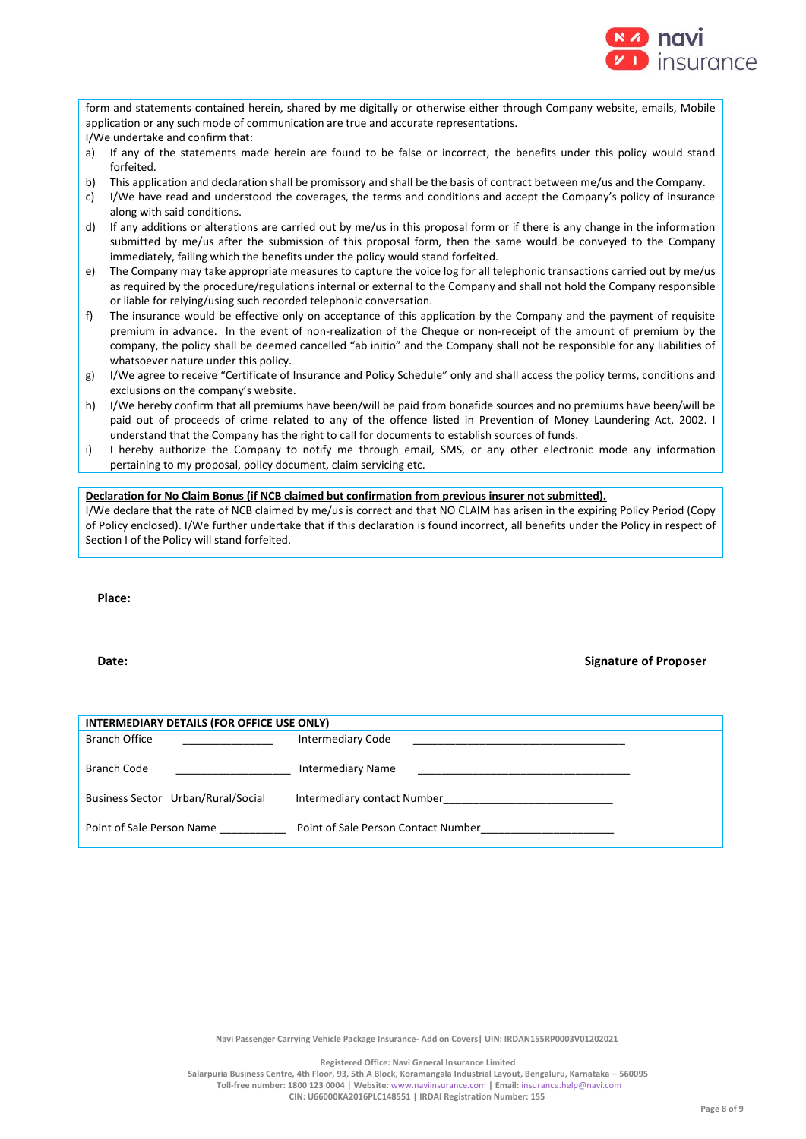

form and statements contained herein, shared by me digitally or otherwise either through Company website, emails, Mobile application or any such mode of communication are true and accurate representations. I/We undertake and confirm that:

- a) If any of the statements made herein are found to be false or incorrect, the benefits under this policy would stand forfeited.
- b) This application and declaration shall be promissory and shall be the basis of contract between me/us and the Company.
- c) I/We have read and understood the coverages, the terms and conditions and accept the Company's policy of insurance along with said conditions.
- d) If any additions or alterations are carried out by me/us in this proposal form or if there is any change in the information submitted by me/us after the submission of this proposal form, then the same would be conveyed to the Company immediately, failing which the benefits under the policy would stand forfeited.
- e) The Company may take appropriate measures to capture the voice log for all telephonic transactions carried out by me/us as required by the procedure/regulations internal or external to the Company and shall not hold the Company responsible or liable for relying/using such recorded telephonic conversation.
- f) The insurance would be effective only on acceptance of this application by the Company and the payment of requisite premium in advance. In the event of non-realization of the Cheque or non-receipt of the amount of premium by the company, the policy shall be deemed cancelled "ab initio" and the Company shall not be responsible for any liabilities of whatsoever nature under this policy.
- g) I/We agree to receive "Certificate of Insurance and Policy Schedule" only and shall access the policy terms, conditions and exclusions on the company's website.
- h) I/We hereby confirm that all premiums have been/will be paid from bonafide sources and no premiums have been/will be paid out of proceeds of crime related to any of the offence listed in Prevention of Money Laundering Act, 2002. I understand that the Company has the right to call for documents to establish sources of funds.
- i) I hereby authorize the Company to notify me through email, SMS, or any other electronic mode any information pertaining to my proposal, policy document, claim servicing etc.

## **Declaration for No Claim Bonus (if NCB claimed but confirmation from previous insurer not submitted).**

I/We declare that the rate of NCB claimed by me/us is correct and that NO CLAIM has arisen in the expiring Policy Period (Copy of Policy enclosed). I/We further undertake that if this declaration is found incorrect, all benefits under the Policy in respect of Section I of the Policy will stand forfeited.

**Place:**

## **Date: Signature of Proposer**

| INTERMEDIARY DETAILS (FOR OFFICE USE ONLY) |                                     |  |  |  |
|--------------------------------------------|-------------------------------------|--|--|--|
| <b>Branch Office</b>                       | <b>Intermediary Code</b>            |  |  |  |
| Branch Code                                | <b>Intermediary Name</b>            |  |  |  |
| Business Sector Urban/Rural/Social         | Intermediary contact Number         |  |  |  |
| Point of Sale Person Name                  | Point of Sale Person Contact Number |  |  |  |

**Navi Passenger Carrying Vehicle Package Insurance- Add on Covers| UIN: IRDAN155RP0003V01202021**

**Registered Office: Navi General Insurance Limited**